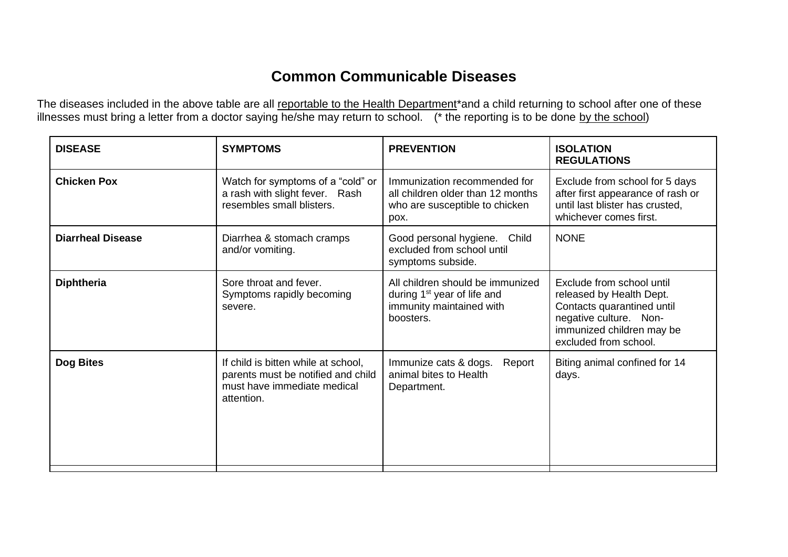## **Common Communicable Diseases**

The diseases included in the above table are all reportable to the Health Department\*and a child returning to school after one of these illnesses must bring a letter from a doctor saying he/she may return to school. (\* the reporting is to be done by the school)

| <b>DISEASE</b>           | <b>SYMPTOMS</b>                                                                                                        | <b>PREVENTION</b>                                                                                                    | <b>ISOLATION</b><br><b>REGULATIONS</b>                                                                                                                              |
|--------------------------|------------------------------------------------------------------------------------------------------------------------|----------------------------------------------------------------------------------------------------------------------|---------------------------------------------------------------------------------------------------------------------------------------------------------------------|
| <b>Chicken Pox</b>       | Watch for symptoms of a "cold" or<br>a rash with slight fever. Rash<br>resembles small blisters.                       | Immunization recommended for<br>all children older than 12 months<br>who are susceptible to chicken<br>pox.          | Exclude from school for 5 days<br>after first appearance of rash or<br>until last blister has crusted,<br>whichever comes first.                                    |
| <b>Diarrheal Disease</b> | Diarrhea & stomach cramps<br>and/or vomiting.                                                                          | Good personal hygiene.<br>Child<br>excluded from school until<br>symptoms subside.                                   | <b>NONE</b>                                                                                                                                                         |
| <b>Diphtheria</b>        | Sore throat and fever.<br>Symptoms rapidly becoming<br>severe.                                                         | All children should be immunized<br>during 1 <sup>st</sup> year of life and<br>immunity maintained with<br>boosters. | Exclude from school until<br>released by Health Dept.<br>Contacts quarantined until<br>negative culture. Non-<br>immunized children may be<br>excluded from school. |
| Dog Bites                | If child is bitten while at school,<br>parents must be notified and child<br>must have immediate medical<br>attention. | Immunize cats & dogs.<br>Report<br>animal bites to Health<br>Department.                                             | Biting animal confined for 14<br>days.                                                                                                                              |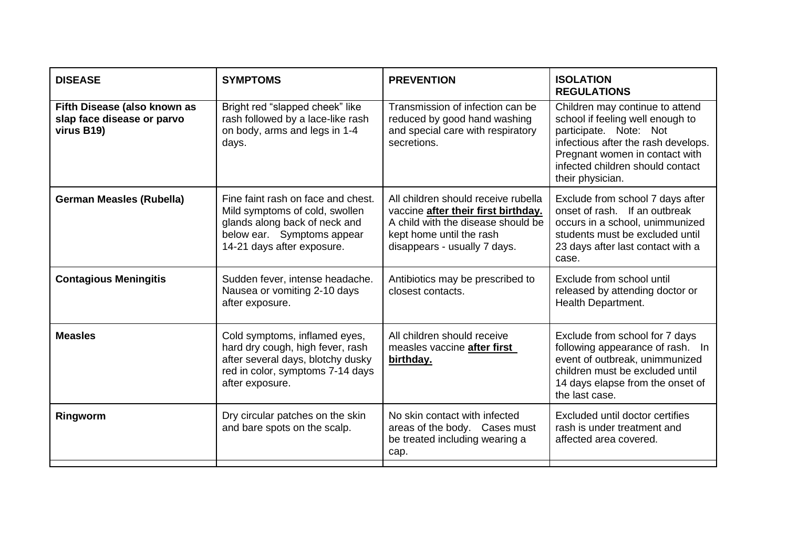| <b>DISEASE</b>                                                           | <b>SYMPTOMS</b>                                                                                                                                                   | <b>PREVENTION</b>                                                                                                                                                            | <b>ISOLATION</b><br><b>REGULATIONS</b>                                                                                                                                                                                         |
|--------------------------------------------------------------------------|-------------------------------------------------------------------------------------------------------------------------------------------------------------------|------------------------------------------------------------------------------------------------------------------------------------------------------------------------------|--------------------------------------------------------------------------------------------------------------------------------------------------------------------------------------------------------------------------------|
| Fifth Disease (also known as<br>slap face disease or parvo<br>virus B19) | Bright red "slapped cheek" like<br>rash followed by a lace-like rash<br>on body, arms and legs in 1-4<br>days.                                                    | Transmission of infection can be<br>reduced by good hand washing<br>and special care with respiratory<br>secretions.                                                         | Children may continue to attend<br>school if feeling well enough to<br>participate. Note: Not<br>infectious after the rash develops.<br>Pregnant women in contact with<br>infected children should contact<br>their physician. |
| <b>German Measles (Rubella)</b>                                          | Fine faint rash on face and chest.<br>Mild symptoms of cold, swollen<br>glands along back of neck and<br>below ear. Symptoms appear<br>14-21 days after exposure. | All children should receive rubella<br>vaccine after their first birthday.<br>A child with the disease should be<br>kept home until the rash<br>disappears - usually 7 days. | Exclude from school 7 days after<br>onset of rash. If an outbreak<br>occurs in a school, unimmunized<br>students must be excluded until<br>23 days after last contact with a<br>case.                                          |
| <b>Contagious Meningitis</b>                                             | Sudden fever, intense headache.<br>Nausea or vomiting 2-10 days<br>after exposure.                                                                                | Antibiotics may be prescribed to<br>closest contacts.                                                                                                                        | Exclude from school until<br>released by attending doctor or<br>Health Department.                                                                                                                                             |
| <b>Measles</b>                                                           | Cold symptoms, inflamed eyes,<br>hard dry cough, high fever, rash<br>after several days, blotchy dusky<br>red in color, symptoms 7-14 days<br>after exposure.     | All children should receive<br>measles vaccine after first<br>birthday.                                                                                                      | Exclude from school for 7 days<br>following appearance of rash. In<br>event of outbreak, unimmunized<br>children must be excluded until<br>14 days elapse from the onset of<br>the last case.                                  |
| Ringworm                                                                 | Dry circular patches on the skin<br>and bare spots on the scalp.                                                                                                  | No skin contact with infected<br>areas of the body. Cases must<br>be treated including wearing a<br>cap.                                                                     | Excluded until doctor certifies<br>rash is under treatment and<br>affected area covered.                                                                                                                                       |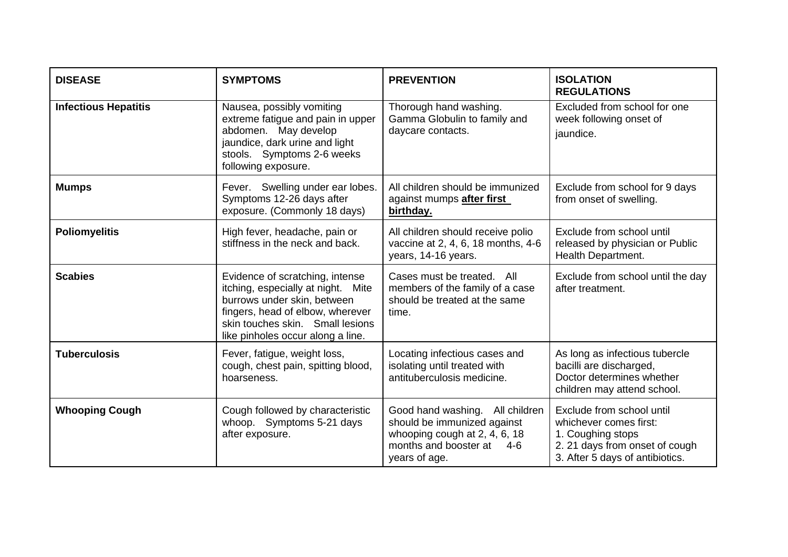| <b>DISEASE</b>              | <b>SYMPTOMS</b>                                                                                                                                                                                                   | <b>PREVENTION</b>                                                                                                                                     | <b>ISOLATION</b><br><b>REGULATIONS</b>                                                                                                        |
|-----------------------------|-------------------------------------------------------------------------------------------------------------------------------------------------------------------------------------------------------------------|-------------------------------------------------------------------------------------------------------------------------------------------------------|-----------------------------------------------------------------------------------------------------------------------------------------------|
| <b>Infectious Hepatitis</b> | Nausea, possibly vomiting<br>extreme fatigue and pain in upper<br>abdomen. May develop<br>jaundice, dark urine and light<br>stools. Symptoms 2-6 weeks<br>following exposure.                                     | Thorough hand washing.<br>Gamma Globulin to family and<br>daycare contacts.                                                                           | Excluded from school for one<br>week following onset of<br>jaundice.                                                                          |
| <b>Mumps</b>                | Fever. Swelling under ear lobes.<br>Symptoms 12-26 days after<br>exposure. (Commonly 18 days)                                                                                                                     | All children should be immunized<br>against mumps after first<br>birthday.                                                                            | Exclude from school for 9 days<br>from onset of swelling.                                                                                     |
| <b>Poliomyelitis</b>        | High fever, headache, pain or<br>stiffness in the neck and back.                                                                                                                                                  | All children should receive polio<br>vaccine at 2, 4, 6, 18 months, 4-6<br>years, 14-16 years.                                                        | Exclude from school until<br>released by physician or Public<br>Health Department.                                                            |
| <b>Scabies</b>              | Evidence of scratching, intense<br>itching, especially at night. Mite<br>burrows under skin, between<br>fingers, head of elbow, wherever<br>skin touches skin. Small lesions<br>like pinholes occur along a line. | Cases must be treated. All<br>members of the family of a case<br>should be treated at the same<br>time.                                               | Exclude from school until the day<br>after treatment.                                                                                         |
| <b>Tuberculosis</b>         | Fever, fatigue, weight loss,<br>cough, chest pain, spitting blood,<br>hoarseness.                                                                                                                                 | Locating infectious cases and<br>isolating until treated with<br>antituberculosis medicine.                                                           | As long as infectious tubercle<br>bacilli are discharged,<br>Doctor determines whether<br>children may attend school.                         |
| <b>Whooping Cough</b>       | Cough followed by characteristic<br>whoop. Symptoms 5-21 days<br>after exposure.                                                                                                                                  | Good hand washing.<br>All children<br>should be immunized against<br>whooping cough at 2, 4, 6, 18<br>months and booster at<br>$4-6$<br>years of age. | Exclude from school until<br>whichever comes first:<br>1. Coughing stops<br>2. 21 days from onset of cough<br>3. After 5 days of antibiotics. |